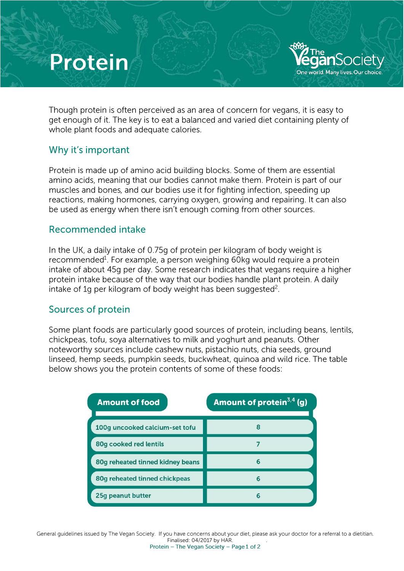# **Protein**

Though protein is often perceived as an area of concern for vegans, **it** is easy to get enough of it. The key is to eat a balanced and varied diet containing plenty of whole plant foods and adequate calories.

toot -

**YeganSociety Dne world. Many lives. Our choice** 

### Why it's important

Protein is made up of amino acid building blocks. Some of them are essential amino acids, meaning that our bodies cannot make them. Protein is part of our muscles and bones, and our bodies use it for fighting infection, speeding up reactions, making hormones. carrying oxygen, growing and repairing. It can also be used as energy when there isn't enough coming from other sources.

#### Recommended intake

In the UK, a daily intake of 0. 75g of protein per kilogram of body weight is recommended<sup>1</sup>. For example, a person weighing 60kg would require a protein intake of about 45g per day. Some research indicates that vegans require a higher protein intake because of the way that our bodies handle plant protein. A daily intake of 1q per kilogram of body weight has been suggested<sup>2</sup>.

### Sources of protein

Some plant foods are particularly good sources of protein, including beans, lentils, chickpeas, tofu, soya alternatives to milk and yoghurt and peanuts. Other noteworthy sources include cashew nuts, pistachio nuts. chia seeds, ground linseed, hemp seeds, pumpkin seeds, buckwheat, quinoa and wild rice. The table below shows you the protein contents of some of these foods:

| <b>Amount of food</b>            | Amount of protein $3,4$ (g) |
|----------------------------------|-----------------------------|
| 100g uncooked calcium-set tofu   |                             |
| 80g cooked red lentils           |                             |
| 80g reheated tinned kidney beans | 6                           |
| 80g reheated tinned chickpeas    | 6                           |
| 25g peanut butter                |                             |

General guidelines issued by The Vegan Society. If you have concerns about your diet, please ask your doctor for a referral to a dietitian. Finalised: 04/2017 by HAR.<br>Protein – The Vegan Society – Page 1 of 2